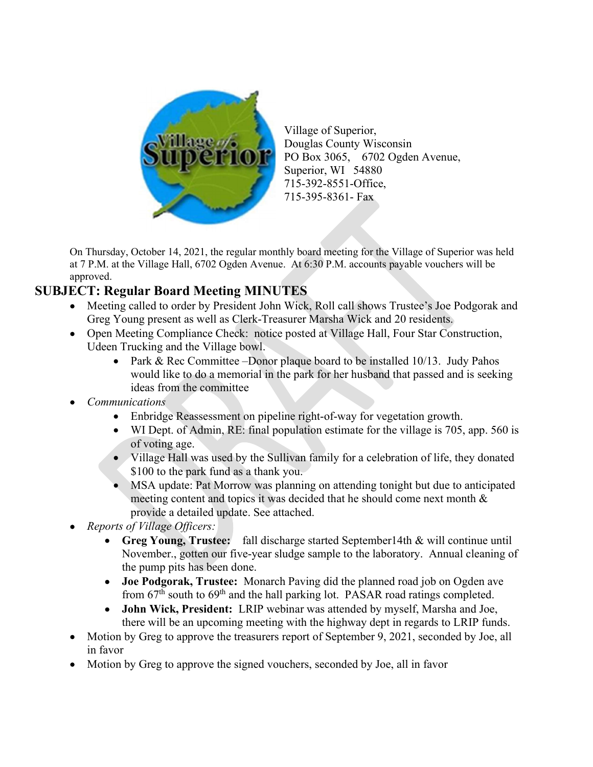

Village of Superior, Douglas County Wisconsin PO Box 3065, 6702 Ogden Avenue, Superior, WI 54880 715-392-8551-Office, 715-395-8361- Fax

On Thursday, October 14, 2021, the regular monthly board meeting for the Village of Superior was held at 7 P.M. at the Village Hall, 6702 Ogden Avenue. At 6:30 P.M. accounts payable vouchers will be approved.

# SUBJECT: Regular Board Meeting MINUTES

- Meeting called to order by President John Wick, Roll call shows Trustee's Joe Podgorak and Greg Young present as well as Clerk-Treasurer Marsha Wick and 20 residents.
- Open Meeting Compliance Check: notice posted at Village Hall, Four Star Construction, Udeen Trucking and the Village bowl.
	- Park & Rec Committee –Donor plaque board to be installed 10/13. Judy Pahos would like to do a memorial in the park for her husband that passed and is seeking ideas from the committee
- Communications
	- Enbridge Reassessment on pipeline right-of-way for vegetation growth.
	- WI Dept. of Admin, RE: final population estimate for the village is 705, app. 560 is of voting age.
	- Village Hall was used by the Sullivan family for a celebration of life, they donated \$100 to the park fund as a thank you.
	- MSA update: Pat Morrow was planning on attending tonight but due to anticipated meeting content and topics it was decided that he should come next month & provide a detailed update. See attached.
- Reports of Village Officers:
	- Greg Young, Trustee: fall discharge started September14th & will continue until November., gotten our five-year sludge sample to the laboratory. Annual cleaning of the pump pits has been done.
	- Joe Podgorak, Trustee: Monarch Paving did the planned road job on Ogden ave from  $67<sup>th</sup>$  south to  $69<sup>th</sup>$  and the hall parking lot. PASAR road ratings completed.
	- John Wick, President: LRIP webinar was attended by myself, Marsha and Joe, there will be an upcoming meeting with the highway dept in regards to LRIP funds.
- Motion by Greg to approve the treasurers report of September 9, 2021, seconded by Joe, all in favor
- Motion by Greg to approve the signed vouchers, seconded by Joe, all in favor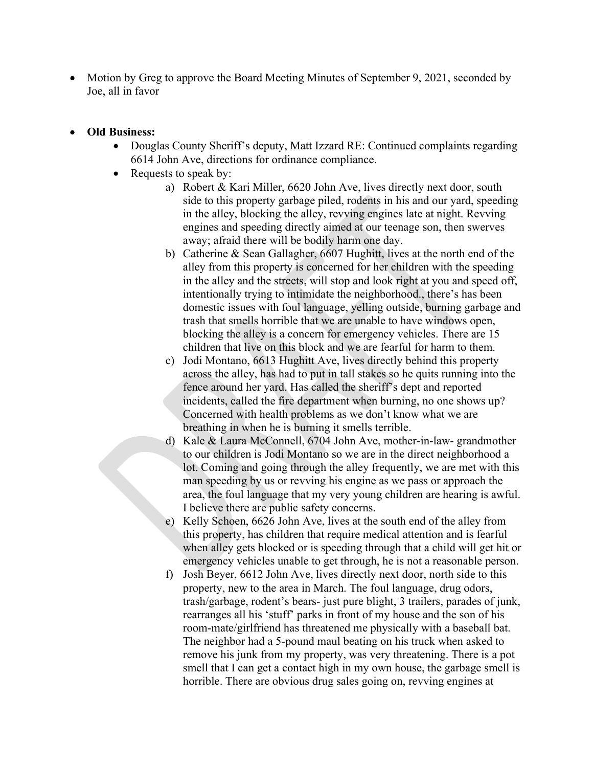- Motion by Greg to approve the Board Meeting Minutes of September 9, 2021, seconded by Joe, all in favor
- Old Business:
	- Douglas County Sheriff's deputy, Matt Izzard RE: Continued complaints regarding 6614 John Ave, directions for ordinance compliance.
	- Requests to speak by:
		- a) Robert & Kari Miller, 6620 John Ave, lives directly next door, south side to this property garbage piled, rodents in his and our yard, speeding in the alley, blocking the alley, revving engines late at night. Revving engines and speeding directly aimed at our teenage son, then swerves away; afraid there will be bodily harm one day.
		- b) Catherine & Sean Gallagher, 6607 Hughitt, lives at the north end of the alley from this property is concerned for her children with the speeding in the alley and the streets, will stop and look right at you and speed off, intentionally trying to intimidate the neighborhood., there's has been domestic issues with foul language, yelling outside, burning garbage and trash that smells horrible that we are unable to have windows open, blocking the alley is a concern for emergency vehicles. There are 15 children that live on this block and we are fearful for harm to them.
		- c) Jodi Montano, 6613 Hughitt Ave, lives directly behind this property across the alley, has had to put in tall stakes so he quits running into the fence around her yard. Has called the sheriff's dept and reported incidents, called the fire department when burning, no one shows up? Concerned with health problems as we don't know what we are breathing in when he is burning it smells terrible.
		- d) Kale & Laura McConnell, 6704 John Ave, mother-in-law- grandmother to our children is Jodi Montano so we are in the direct neighborhood a lot. Coming and going through the alley frequently, we are met with this man speeding by us or revving his engine as we pass or approach the area, the foul language that my very young children are hearing is awful. I believe there are public safety concerns.
		- e) Kelly Schoen, 6626 John Ave, lives at the south end of the alley from this property, has children that require medical attention and is fearful when alley gets blocked or is speeding through that a child will get hit or emergency vehicles unable to get through, he is not a reasonable person.
		- f) Josh Beyer, 6612 John Ave, lives directly next door, north side to this property, new to the area in March. The foul language, drug odors, trash/garbage, rodent's bears- just pure blight, 3 trailers, parades of junk, rearranges all his 'stuff' parks in front of my house and the son of his room-mate/girlfriend has threatened me physically with a baseball bat. The neighbor had a 5-pound maul beating on his truck when asked to remove his junk from my property, was very threatening. There is a pot smell that I can get a contact high in my own house, the garbage smell is horrible. There are obvious drug sales going on, revving engines at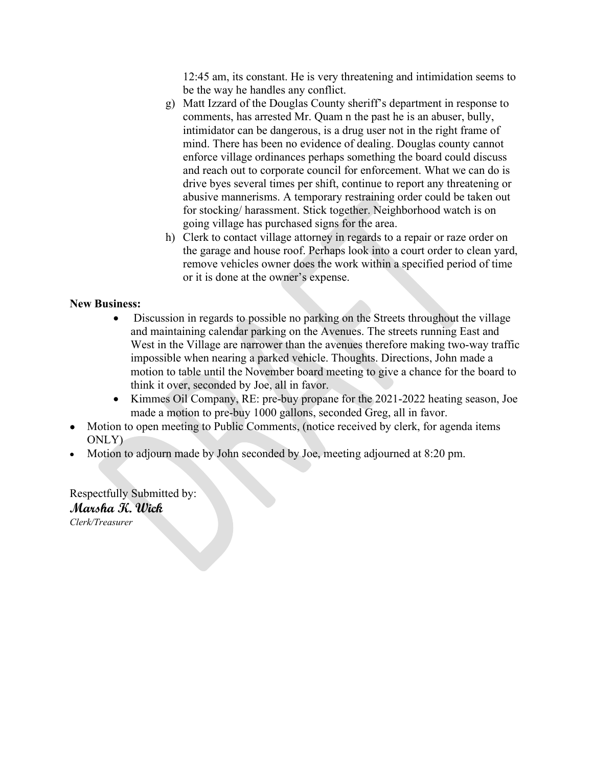12:45 am, its constant. He is very threatening and intimidation seems to be the way he handles any conflict.

- g) Matt Izzard of the Douglas County sheriff's department in response to comments, has arrested Mr. Quam n the past he is an abuser, bully, intimidator can be dangerous, is a drug user not in the right frame of mind. There has been no evidence of dealing. Douglas county cannot enforce village ordinances perhaps something the board could discuss and reach out to corporate council for enforcement. What we can do is drive byes several times per shift, continue to report any threatening or abusive mannerisms. A temporary restraining order could be taken out for stocking/ harassment. Stick together. Neighborhood watch is on going village has purchased signs for the area.
- h) Clerk to contact village attorney in regards to a repair or raze order on the garage and house roof. Perhaps look into a court order to clean yard, remove vehicles owner does the work within a specified period of time or it is done at the owner's expense.

## New Business:

- Discussion in regards to possible no parking on the Streets throughout the village and maintaining calendar parking on the Avenues. The streets running East and West in the Village are narrower than the avenues therefore making two-way traffic impossible when nearing a parked vehicle. Thoughts. Directions, John made a motion to table until the November board meeting to give a chance for the board to think it over, seconded by Joe, all in favor.
- Kimmes Oil Company, RE: pre-buy propane for the 2021-2022 heating season, Joe made a motion to pre-buy 1000 gallons, seconded Greg, all in favor.
- Motion to open meeting to Public Comments, (notice received by clerk, for agenda items ONLY)
- Motion to adjourn made by John seconded by Joe, meeting adjourned at 8:20 pm.

Respectfully Submitted by: Marsha K. Wick Clerk/Treasurer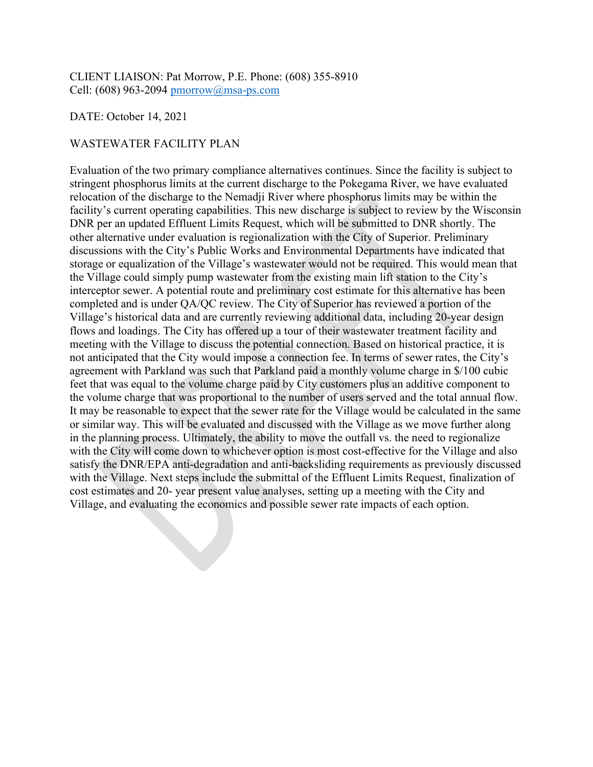CLIENT LIAISON: Pat Morrow, P.E. Phone: (608) 355-8910 Cell: (608) 963-2094 pmorrow@msa-ps.com

### DATE: October 14, 2021

### WASTEWATER FACILITY PLAN

Evaluation of the two primary compliance alternatives continues. Since the facility is subject to stringent phosphorus limits at the current discharge to the Pokegama River, we have evaluated relocation of the discharge to the Nemadji River where phosphorus limits may be within the facility's current operating capabilities. This new discharge is subject to review by the Wisconsin DNR per an updated Effluent Limits Request, which will be submitted to DNR shortly. The other alternative under evaluation is regionalization with the City of Superior. Preliminary discussions with the City's Public Works and Environmental Departments have indicated that storage or equalization of the Village's wastewater would not be required. This would mean that the Village could simply pump wastewater from the existing main lift station to the City's interceptor sewer. A potential route and preliminary cost estimate for this alternative has been completed and is under QA/QC review. The City of Superior has reviewed a portion of the Village's historical data and are currently reviewing additional data, including 20-year design flows and loadings. The City has offered up a tour of their wastewater treatment facility and meeting with the Village to discuss the potential connection. Based on historical practice, it is not anticipated that the City would impose a connection fee. In terms of sewer rates, the City's agreement with Parkland was such that Parkland paid a monthly volume charge in \$/100 cubic feet that was equal to the volume charge paid by City customers plus an additive component to the volume charge that was proportional to the number of users served and the total annual flow. It may be reasonable to expect that the sewer rate for the Village would be calculated in the same or similar way. This will be evaluated and discussed with the Village as we move further along in the planning process. Ultimately, the ability to move the outfall vs. the need to regionalize with the City will come down to whichever option is most cost-effective for the Village and also satisfy the DNR/EPA anti-degradation and anti-backsliding requirements as previously discussed with the Village. Next steps include the submittal of the Effluent Limits Request, finalization of cost estimates and 20- year present value analyses, setting up a meeting with the City and Village, and evaluating the economics and possible sewer rate impacts of each option.